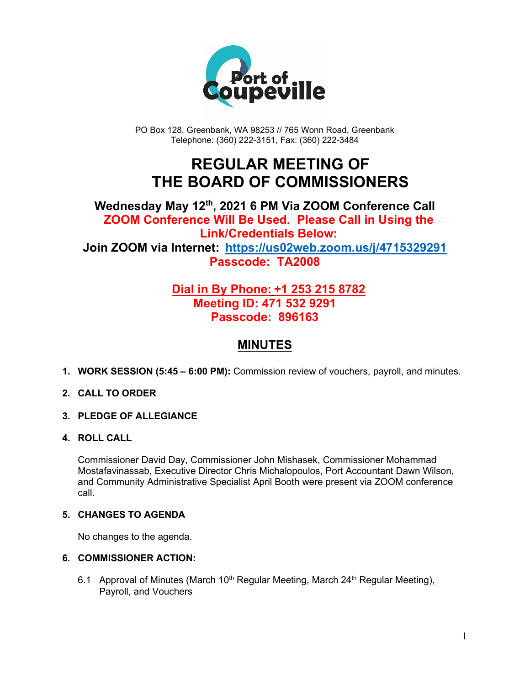

PO Box 128, Greenbank, WA 98253 // 765 Wonn Road, Greenbank Telephone: (360) 222-3151, Fax: (360) 222-3484

## **REGULAR MEETING OF THE BOARD OF COMMISSIONERS**

## **Wednesday May 12th, 2021 6 PM Via ZOOM Conference Call ZOOM Conference Will Be Used. Please Call in Using the Link/Credentials Below: Join ZOOM via Internet: <https://us02web.zoom.us/j/4715329291> Passcode: TA2008**

## **Dial in By Phone: +1 253 215 8782 Meeting ID: 471 532 9291 Passcode: 896163**

## **MINUTES**

**1. WORK SESSION (5:45 – 6:00 PM):** Commission review of vouchers, payroll, and minutes.

#### **2. CALL TO ORDER**

- **3. PLEDGE OF ALLEGIANCE**
- **4. ROLL CALL**

Commissioner David Day, Commissioner John Mishasek, Commissioner Mohammad Mostafavinassab, Executive Director Chris Michalopoulos, Port Accountant Dawn Wilson, and Community Administrative Specialist April Booth were present via ZOOM conference call.

#### **5. CHANGES TO AGENDA**

No changes to the agenda.

#### **6. COMMISSIONER ACTION:**

6.1 Approval of Minutes (March 10<sup>th</sup> Regular Meeting, March 24<sup>th</sup> Regular Meeting), Payroll, and Vouchers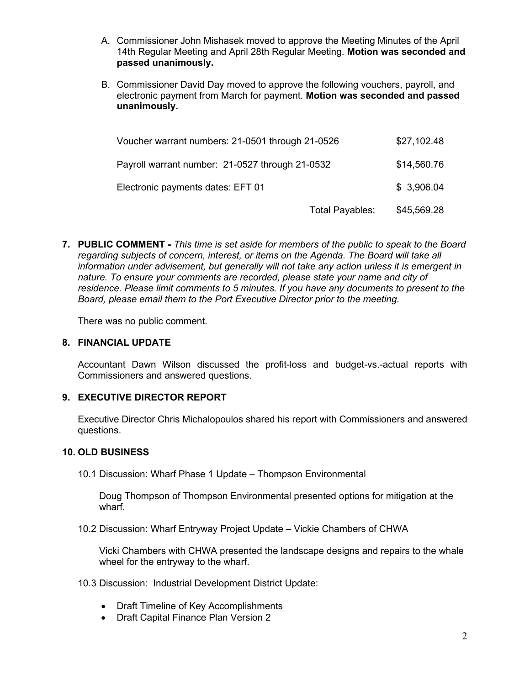- A. Commissioner John Mishasek moved to approve the Meeting Minutes of the April 14th Regular Meeting and April 28th Regular Meeting. **Motion was seconded and passed unanimously.**
- B. Commissioner David Day moved to approve the following vouchers, payroll, and electronic payment from March for payment. **Motion was seconded and passed unanimously.**

| Voucher warrant numbers: 21-0501 through 21-0526 |                 | \$27,102.48 |
|--------------------------------------------------|-----------------|-------------|
| Payroll warrant number: 21-0527 through 21-0532  |                 | \$14,560.76 |
| Electronic payments dates: EFT 01                |                 | \$3,906.04  |
|                                                  | Total Payables: | \$45,569.28 |

**7. PUBLIC COMMENT -** *This time is set aside for members of the public to speak to the Board regarding subjects of concern, interest, or items on the Agenda. The Board will take all information under advisement, but generally will not take any action unless it is emergent in nature. To ensure your comments are recorded, please state your name and city of residence. Please limit comments to 5 minutes. If you have any documents to present to the Board, please email them to the Port Executive Director prior to the meeting.*

There was no public comment.

#### **8. FINANCIAL UPDATE**

Accountant Dawn Wilson discussed the profit-loss and budget-vs.-actual reports with Commissioners and answered questions.

#### **9. EXECUTIVE DIRECTOR REPORT**

Executive Director Chris Michalopoulos shared his report with Commissioners and answered questions.

#### **10. OLD BUSINESS**

10.1 Discussion: Wharf Phase 1 Update – Thompson Environmental

Doug Thompson of Thompson Environmental presented options for mitigation at the wharf.

10.2 Discussion: Wharf Entryway Project Update – Vickie Chambers of CHWA

Vicki Chambers with CHWA presented the landscape designs and repairs to the whale wheel for the entryway to the wharf.

- 10.3 Discussion: Industrial Development District Update:
	- Draft Timeline of Key Accomplishments
	- Draft Capital Finance Plan Version 2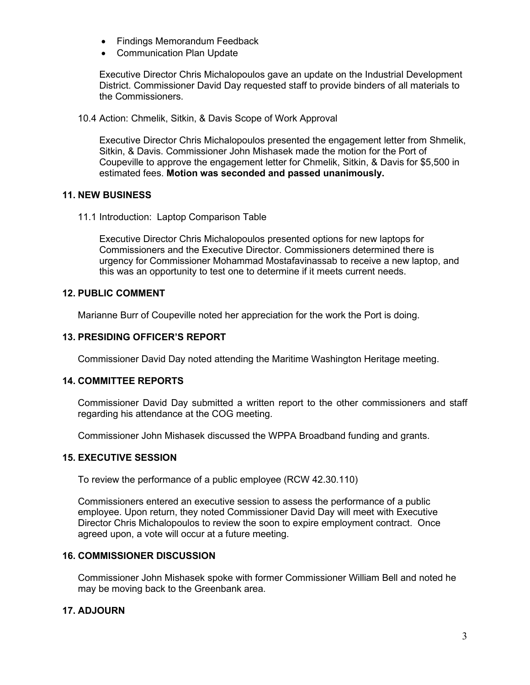- Findings Memorandum Feedback
- Communication Plan Update

Executive Director Chris Michalopoulos gave an update on the Industrial Development District. Commissioner David Day requested staff to provide binders of all materials to the Commissioners.

10.4 Action: Chmelik, Sitkin, & Davis Scope of Work Approval

Executive Director Chris Michalopoulos presented the engagement letter from Shmelik, Sitkin, & Davis. Commissioner John Mishasek made the motion for the Port of Coupeville to approve the engagement letter for Chmelik, Sitkin, & Davis for \$5,500 in estimated fees. **Motion was seconded and passed unanimously.**

#### **11. NEW BUSINESS**

11.1 Introduction: Laptop Comparison Table

Executive Director Chris Michalopoulos presented options for new laptops for Commissioners and the Executive Director. Commissioners determined there is urgency for Commissioner Mohammad Mostafavinassab to receive a new laptop, and this was an opportunity to test one to determine if it meets current needs.

#### **12. PUBLIC COMMENT**

Marianne Burr of Coupeville noted her appreciation for the work the Port is doing.

#### **13. PRESIDING OFFICER'S REPORT**

Commissioner David Day noted attending the Maritime Washington Heritage meeting.

#### **14. COMMITTEE REPORTS**

Commissioner David Day submitted a written report to the other commissioners and staff regarding his attendance at the COG meeting.

Commissioner John Mishasek discussed the WPPA Broadband funding and grants.

#### **15. EXECUTIVE SESSION**

To review the performance of a public employee (RCW 42.30.110)

Commissioners entered an executive session to assess the performance of a public employee. Upon return, they noted Commissioner David Day will meet with Executive Director Chris Michalopoulos to review the soon to expire employment contract. Once agreed upon, a vote will occur at a future meeting.

#### **16. COMMISSIONER DISCUSSION**

Commissioner John Mishasek spoke with former Commissioner William Bell and noted he may be moving back to the Greenbank area.

#### **17. ADJOURN**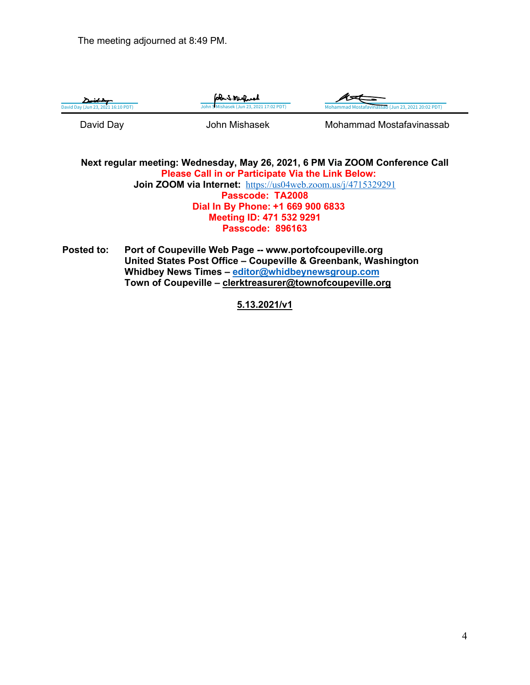The meeting adjourned at 8:49 PM.



**Next regular meeting: Wednesday, May 26, 2021, 6 PM Via ZOOM Conference Call Please Call in or Participate Via the Link Below: Join ZOOM via Internet:** <https://us04web.zoom.us/j/4715329291> **Passcode: TA2008 Dial In By Phone: +1 669 900 6833 Meeting ID: 471 532 9291 Passcode: 896163**

**Posted to: Port of Coupeville Web Page -- www.portofcoupeville.org United States Post Office – Coupeville & Greenbank, Washington Whidbey News Times – [editor@whidbeynewsgroup.com](mailto:editor@whidbeynewsgroup.com) Town of Coupeville – [clerktreasurer@townofcoupeville.org](mailto:clerktreasurer@townofcoupeville.org)**

#### **5.13.2021/v1**